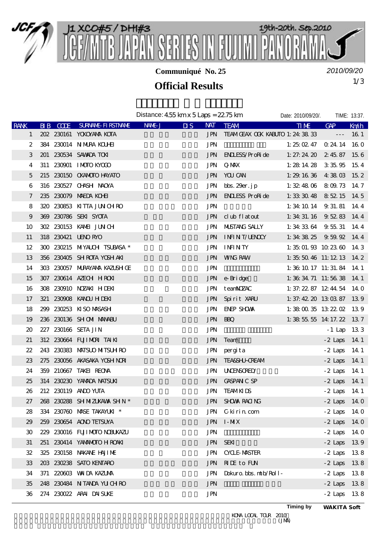

**Communiqué No. 25**

*2010/09/20*

## 1/3 **Official Results**

|              |          |                              | Distance: $455 \,\mathrm{km} \times 5 \,\mathrm{Laps} = 2275 \,\mathrm{km}$ |                                    | Date: 2010/09/20/.                    |                                     | TIME: 13:37.   |             |
|--------------|----------|------------------------------|-----------------------------------------------------------------------------|------------------------------------|---------------------------------------|-------------------------------------|----------------|-------------|
| <b>RANK</b>  | BIB CODE | <b>SURNAME FIRSTNAME</b>     | NAME J                                                                      | $\overline{\mathbf{u}}$<br>NAT     | <b>TEAM</b>                           | <b>TIME</b>                         | GAP            | Kndh        |
| $\mathbf{1}$ |          | 202 230161 YOKOYANA KOTA     |                                                                             |                                    | JPN TEAMGEAX OOK KABUTO 1: 24: 38: 33 |                                     | $\sim$ $ -$    | 16 1        |
| 2            |          | 384 230014 N MURA KOUHEI     |                                                                             | <b>JPN</b>                         |                                       | 1: $25 \times 47$ 0.24 14 16 0      |                |             |
| 3            |          | 201 230534 SAWADA TON        |                                                                             |                                    | JPN ENLESS/ProRide                    | 1: 27: 24. 20 $2.4587$ 15. 6        |                |             |
| 4            |          | 311 230901 IMOTO KYODO       |                                                                             |                                    | JPN QMAX                              | 1: $28\ 14\ 28\ 3\ 35\ 95\ 15\ 4$   |                |             |
| 5            |          | 215 230150 CKANOTO HAYATO    |                                                                             |                                    | JPN YOU CAN                           | 1: $29.1636 + 38.03 + 15.2$         |                |             |
| 6            |          | 316 230527 CHNSH NAOYA       |                                                                             |                                    | JPN bbs. 29er. jp                     | 1: 32: 48. 06 8. 09. 73 14. 7       |                |             |
| 7            |          | 235 230079 MAEDA KOHI        |                                                                             |                                    | JPN ENLLESS ProRide                   | 1: 33: 30: 48 8: 52: 15 14: 5       |                |             |
| 8            |          | 320 230853 KITTA JUNCHRO     |                                                                             | <b>JPN</b>                         |                                       | 1: 34: 10 14 $9.31.81$ 14 4         |                |             |
| 9            |          | 369 230786 SEKI SYOTA        |                                                                             |                                    | JPN club flatout                      | 1: 34: 31. 16 9. 52. 83 14. 4       |                |             |
| 10           |          | 302 230153 KAMAI JUNCH       |                                                                             |                                    | JPN MUSTANG SALLY                     | 1: 34: 33 64 $9.55.31$ 14: 4        |                |             |
| 11           |          | 318 230421 LENORYO           |                                                                             |                                    | JPN INFINIT/UENOCY                    | 1: 34: 38. 25 $9.59.92 \quad 14.4$  |                |             |
| 12           |          | 300 230215 MYALCH TSUBASA *  |                                                                             |                                    | JPN INFINITY                          | 1: $35 \t01.93 \t10.23 \t00 \t14.3$ |                |             |
| 13           |          | 356 230405 SHROTA YOSHAKI    |                                                                             |                                    | <b>JPN WNG RAW</b>                    | 1: $35\ 50\ 46$ 11: $12\ 13$ 14 2   |                |             |
| 14           |          | 303 230057 MRAYAMA KAZUSH GE |                                                                             | <b>JPN</b>                         |                                       | 1: 36: 10: 17: 11: 31. 84: 14: 1    |                |             |
| 15           |          | 307 230614 AZECH HROKI       |                                                                             |                                    | JPN e-Bridge                          | 1: 36: 34. 71 11: 56: 38 14. 1      |                |             |
| 16           |          | 308 230910 NOZAKI HDEKI      |                                                                             |                                    | JPN teanNOZAC                         | 1: 37: 22. 87 12: 44. 54 14. 0      |                |             |
| 17           |          | 321 230908 KANOU H DEKI      |                                                                             | JPN                                | Spirit XARU                           | 1: 37: 42, 20, 13: 03, 87, 13: 9    |                |             |
| 18           |          | 299 230253 KISO MASASH       |                                                                             | JPN                                | ENEP SHOWA                            | 1: 38 00 35 13 22 02 13 9           |                |             |
| 19           |          | 236 230136 SHOM MANABU       |                                                                             |                                    | JPN BBQ                               | 1: 38 55 55 14 17 22 13 7           |                |             |
| 20           |          | 227 230166 SETA JIN          |                                                                             | <b>JPN</b>                         |                                       |                                     | $-1$ Lap 133   |             |
| 21           |          | 312 230664 FUJIMORI TAIKI    |                                                                             | <b>JPN</b>                         | Team                                  |                                     | $-2$ Laps 14 1 |             |
| 22           |          | 243 230383 MATSUO MITSUH RO  |                                                                             | JPN                                | pergita                               |                                     | $-2$ Laps 14.1 |             |
| 23           |          | 275 230056 AKASAKA YOSH NORI |                                                                             | JPN                                | <b>TEA&amp;SHJ-CREAM</b>              |                                     | $-2$ Laps      | -14.1       |
| 24           |          | 359 210667 TAKEL REONA       |                                                                             |                                    | <b>JPN UNENSORED</b>                  |                                     | $-2$ Laps      | 14 1        |
| 25           |          | 314 230230 YAMADA NATSUKI    |                                                                             | <b>JPN</b>                         | <b>GASPAN C SP</b>                    |                                     | $-2$ Laps 14 1 |             |
| 26           |          | 212 230119 AND YUTA          |                                                                             | <b>JPN</b>                         | <b>TEAMKIDS</b>                       |                                     | $-2$ Laps      | - 14 1      |
| 27           |          | 268 230288 SHMZUKAWA SHN *   |                                                                             |                                    | JPN SHOWA RACING                      |                                     | $-2$ Laps      | <b>14 O</b> |
| 28           |          | 334 230760 MASE TAKAYUKI *   |                                                                             |                                    | JPN Ckirin com                        |                                     | $-2$ Laps 14 0 |             |
| 29           |          | 259 230654 AONO TEISUYA      |                                                                             |                                    | JPN I-MX                              |                                     | $-2$ Laps 14 0 |             |
| 30           |          | 229 230016 FUJIMOTO NEUKAZU  |                                                                             | <b>JPN</b>                         |                                       |                                     | $-2$ Laps 14 0 |             |
| 31           |          | 251 230414 YANANOTO H ROAKI  |                                                                             | <b>JPN</b>                         | <b>SEKI</b>                           |                                     | $-2$ Laps 139  |             |
| 32           |          | 325 230158 NAKANE HAJIME     |                                                                             | <b>JPN</b>                         | <b>CYCLE MASTER</b>                   |                                     | $-2$ Laps 138  |             |
| 33           |          | 203 230238 SATO KENTARO      |                                                                             | <b>JPN</b>                         | <b>RIE</b> to FUN                     |                                     | $-2$ Laps 138  |             |
| 34           |          | 371 220603 WAIDA KAZIMA      |                                                                             | <b>JPN</b>                         | Dokuro. bbs. ntb/Roll-                |                                     | $-2$ Laps      | 138         |
| 35           |          | 248 230484 NTANDA YUCHRO     |                                                                             | $\mathbf{J}\mathbf{P}\!\mathbf{N}$ |                                       |                                     | $-2$ Laps 138  |             |
| 36           |          | 274 230022 ARAI DAISUKE      |                                                                             | <b>JPN</b>                         |                                       |                                     | $-2$ Laps 138  |             |

**Timing by** *WAKITA Soft*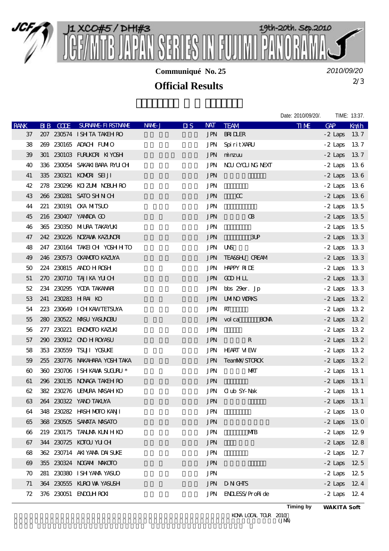

**Communiqué No. 25**

*2010/09/20*

## 2/3 **Official Results**

|              |                 |                               |        |                           |            |                         | Date: 2010/09/20/. |                | TIME: 13:37. |
|--------------|-----------------|-------------------------------|--------|---------------------------|------------|-------------------------|--------------------|----------------|--------------|
| <b>RANK</b>  | <b>BIB CODE</b> | SURVANIE FIRSTIVANIE          | NAME J | $\overline{\mathbf{u}}$ s | <b>NAT</b> | <b>TEAM</b>             | <b>TIME</b>        | <b>GAP</b>     | Km/h         |
| 37           |                 | 207 230574 ISHTA TAKEH RO     |        |                           |            | <b>JPN BRIDLER</b>      |                    | $-2$ Laps      | 137          |
| 38           |                 | 269 230165 ADACH FUMIO        |        |                           | JPN        | Spirit XARU             |                    | $-2$ Laps 13.7 |              |
| 39           |                 | 301 230103 FURUKORI KIYOSH    |        |                           |            | JPN minzuu              |                    | $-2$ Laps 137  |              |
| 40           |                 | 336 230054 SAKAKIBARA RAUCH   |        |                           |            | JPN NOU CYCLING NEXT    |                    | $-2$ Laps      | - 136        |
| 41           |                 | 335 230321 KOMORI SEIJI       |        |                           | <b>JPN</b> |                         |                    | $-2$ Laps 136  |              |
| 42           |                 | 278 230296 KOZUM NBUHRO       |        |                           | <b>JPN</b> |                         |                    | $-2$ Laps 136  |              |
| 43           |                 | 266 230281 SATO SHN CH        |        |                           | <b>JPN</b> | $\alpha$                |                    | $-2$ Laps 136  |              |
| 44           |                 | 221 230191 CKA MITSUO         |        |                           | <b>JPN</b> |                         |                    | $-2$ Laps      | - 135        |
| 45           |                 | 216 230407 YAMADA GO          |        |                           | <b>JPN</b> | <b>B</b>                |                    | $-2$ Laps 13 5 |              |
| 46           |                 | 365 230350 MURA TAKAYUKI      |        |                           | <b>JPN</b> |                         |                    | $-2$ Laps 13.5 |              |
| 47           |                 | 242 230226 NOZAWA KAZUNORI    |        |                           | <b>JPN</b> | 3 <sub>CP</sub>         |                    | $-2$ Laps      | 133          |
| 48           |                 | 247 230164 TAKED CH YOSH HTO  |        |                           | JPN UNS    |                         |                    | $-2$ Laps 133  |              |
| 49           |                 | 246 230573 CKANDIO KAZUYA     |        |                           |            | JPN TEA&SHU CREAM       |                    | $-2$ Laps      | 133          |
| 50           |                 | 224 230815 AND HROSH          |        |                           |            | JPN HAPPY RIDE          |                    | $-2$ Laps 133  |              |
| 51           |                 | 270 230710 TAJIKA YUCH        |        |                           |            | JPN GOD HLL             |                    | $-2$ Laps 133  |              |
| 52           |                 | 234 230295 YODA TAKANARI      |        |                           |            | JPN bbs 29er. Jp        |                    | $-2$ Laps      | - 13 3       |
| 53           |                 | 241 230283 HRAI KO            |        |                           |            | <b>JPN UMNO WRKS</b>    |                    | $-2$ Laps      | 132          |
| 54           |                 | 223 230649 ICH KAWTETSUYA     |        |                           | JPN RT     |                         |                    | $-2$ Laps 132  |              |
| 55           |                 | 280 230522 MASU YASUNOBU      |        |                           |            | JPN volca<br><b>BOM</b> |                    | $-2$ Laps      | 132          |
| 56           |                 | 277 230221 ENOMOTO KAZUKI     |        |                           | <b>JPN</b> |                         |                    | $-2$ Laps 132  |              |
| 57           |                 | 290 230912 ON HROYASU         |        |                           | <b>JPN</b> | R                       |                    | $-2$ Laps 132  |              |
| 58           |                 | 353 230559 TSUII YOSUKE       |        |                           |            | <b>JPN HEART MEW</b>    |                    | $-2$ Laps 132  |              |
| 59           |                 | 255 230776 NAKAHARA YOSH TAKA |        |                           |            | JPN TeanMaX/STOROK      |                    | $-2$ Laps 132  |              |
| $60^{\circ}$ |                 | 360 230706 ISHKAWA SUGURU *   |        |                           | <b>JPN</b> | MRT                     |                    | $-2$ Laps      | - 13 1       |
| 61           |                 | 296 230135 NONCA TAKEH RO     |        |                           | <b>JPN</b> |                         |                    | $-2$ Laps 13 1 |              |
| 62           |                 | 382 230276 UENURA MASAH KO    |        |                           | JPN        | C ub SY-Nak             |                    | $-2$ Laps 13 1 |              |
| 63           |                 | 264 230322 YANO TAKUYA        |        |                           | <b>JPN</b> |                         |                    | $-2$ Laps      | 13 1         |
| 64           |                 | 348 230282 HASH MOTO KANJI    |        |                           | <b>JPN</b> |                         |                    | $-2$ Laps 130  |              |
| 65           |                 | 368 230505 SAMATA MASATO      |        |                           | <b>JPN</b> |                         |                    | $-2$ Laps      | 130          |
| 66           |                 | 219 230175 TANA KIN HKO       |        |                           | JPN        | MB                      |                    | $-2$ Laps 12.9 |              |
| 67           |                 | 344 230725 KOTOU YU CH        |        |                           | <b>JPN</b> |                         |                    | $-2$ Laps 128  |              |
| 68           |                 | 362 230714 AKIYANA DAISUKE    |        |                           | <b>JPN</b> |                         |                    | $-2$ Laps 12.7 |              |
| $\omega$     |                 | 355 230324 NOGAM MAKOTO       |        |                           | <b>JPN</b> |                         |                    | $-2$ Laps 12 5 |              |
| 70           |                 | 281 230380 ISH YAVA YASUO     |        |                           | JPN        |                         |                    | $-2$ Laps      | 125          |
| 71           |                 | 364 230555 KURO VA YASUSH     |        |                           | JPN        | <b>DNGHS</b>            |                    | $-2$ Laps 124  |              |
| 72           |                 | 376 230051 ENDUHRON           |        |                           | <b>JPN</b> | <b>ENLESS/ProRide</b>   |                    | $-2$ Laps 124  |              |

**Timing by** *WAKITA Soft*